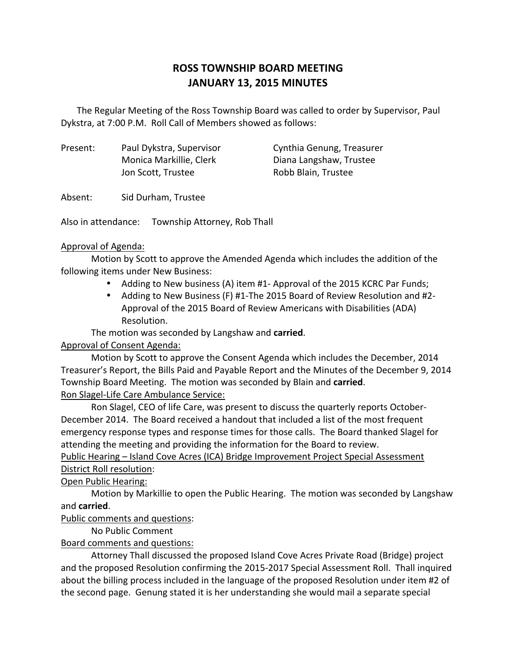# **ROSS TOWNSHIP BOARD MEETING JANUARY 13, 2015 MINUTES**

The Regular Meeting of the Ross Township Board was called to order by Supervisor, Paul Dykstra, at 7:00 P.M. Roll Call of Members showed as follows:

Present: Paul Dykstra, Supervisor Cynthia Genung, Treasurer Monica Markillie, Clerk Diana Langshaw, Trustee Jon Scott, Trustee Robb Blain, Trustee

Absent: Sid Durham, Trustee

Also in attendance: Township Attorney, Rob Thall

### Approval of Agenda:

Motion by Scott to approve the Amended Agenda which includes the addition of the following items under New Business:

- Adding to New business (A) item #1- Approval of the 2015 KCRC Par Funds;
- Adding to New Business (F) #1-The 2015 Board of Review Resolution and #2-Approval of the 2015 Board of Review Americans with Disabilities (ADA) Resolution.

The motion was seconded by Langshaw and **carried**.

## Approval of Consent Agenda:

Motion by Scott to approve the Consent Agenda which includes the December, 2014 Treasurer's Report, the Bills Paid and Payable Report and the Minutes of the December 9, 2014 Township Board Meeting. The motion was seconded by Blain and **carried**.

## Ron Slagel-Life Care Ambulance Service:

Ron Slagel, CEO of life Care, was present to discuss the quarterly reports October-December 2014. The Board received a handout that included a list of the most frequent emergency response types and response times for those calls. The Board thanked Slagel for attending the meeting and providing the information for the Board to review.

# Public Hearing – Island Cove Acres (ICA) Bridge Improvement Project Special Assessment District Roll resolution:

## Open Public Hearing:

Motion by Markillie to open the Public Hearing. The motion was seconded by Langshaw and **carried**.

## Public comments and questions:

No Public Comment

## Board comments and questions:

Attorney Thall discussed the proposed Island Cove Acres Private Road (Bridge) project and the proposed Resolution confirming the 2015-2017 Special Assessment Roll. Thall inquired about the billing process included in the language of the proposed Resolution under item #2 of the second page. Genung stated it is her understanding she would mail a separate special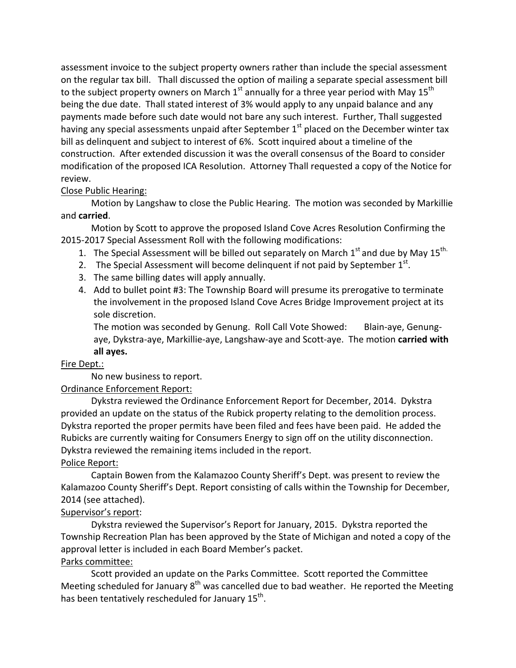assessment invoice to the subject property owners rather than include the special assessment on the regular tax bill. Thall discussed the option of mailing a separate special assessment bill to the subject property owners on March  $1<sup>st</sup>$  annually for a three year period with May 15<sup>th</sup> being the due date. Thall stated interest of 3% would apply to any unpaid balance and any payments made before such date would not bare any such interest. Further, Thall suggested having any special assessments unpaid after September  $1<sup>st</sup>$  placed on the December winter tax bill as delinquent and subject to interest of 6%. Scott inquired about a timeline of the construction. After extended discussion it was the overall consensus of the Board to consider modification of the proposed ICA Resolution. Attorney Thall requested a copy of the Notice for review.

### Close Public Hearing:

Motion by Langshaw to close the Public Hearing. The motion was seconded by Markillie and **carried**.

Motion by Scott to approve the proposed Island Cove Acres Resolution Confirming the 2015-2017 Special Assessment Roll with the following modifications:

- 1. The Special Assessment will be billed out separately on March  $1<sup>st</sup>$  and due by May  $15<sup>th</sup>$
- 2. The Special Assessment will become delinguent if not paid by September  $1^{st}$ .
- 3. The same billing dates will apply annually.
- 4. Add to bullet point #3: The Township Board will presume its prerogative to terminate the involvement in the proposed Island Cove Acres Bridge Improvement project at its sole discretion.

The motion was seconded by Genung. Roll Call Vote Showed: Blain-aye, Genungaye, Dykstra-aye, Markillie-aye, Langshaw-aye and Scott-aye. The motion **carried with all ayes.**

### Fire Dept.:

No new business to report.

### Ordinance Enforcement Report:

Dykstra reviewed the Ordinance Enforcement Report for December, 2014. Dykstra provided an update on the status of the Rubick property relating to the demolition process. Dykstra reported the proper permits have been filed and fees have been paid. He added the Rubicks are currently waiting for Consumers Energy to sign off on the utility disconnection. Dykstra reviewed the remaining items included in the report.

### Police Report:

Captain Bowen from the Kalamazoo County Sheriff's Dept. was present to review the Kalamazoo County Sheriff's Dept. Report consisting of calls within the Township for December, 2014 (see attached).

### Supervisor's report:

Dykstra reviewed the Supervisor's Report for January, 2015. Dykstra reported the Township Recreation Plan has been approved by the State of Michigan and noted a copy of the approval letter is included in each Board Member's packet.

# Parks committee:

Scott provided an update on the Parks Committee. Scott reported the Committee Meeting scheduled for January  $8<sup>th</sup>$  was cancelled due to bad weather. He reported the Meeting has been tentatively rescheduled for January 15<sup>th</sup>.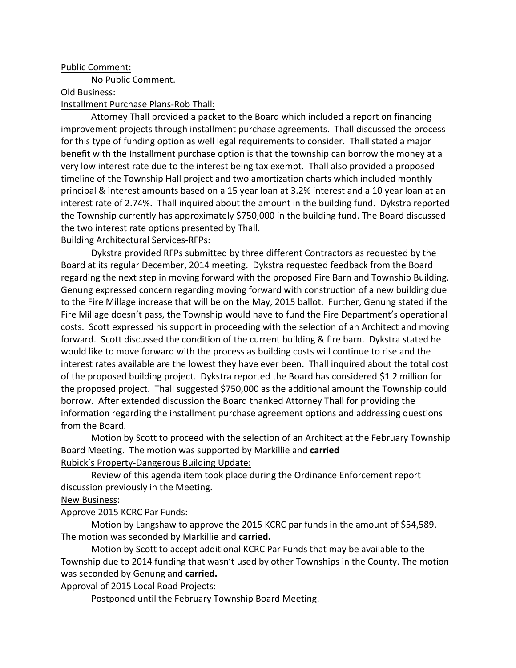#### Public Comment:

No Public Comment.

Old Business:

#### Installment Purchase Plans-Rob Thall:

Attorney Thall provided a packet to the Board which included a report on financing improvement projects through installment purchase agreements. Thall discussed the process for this type of funding option as well legal requirements to consider. Thall stated a major benefit with the Installment purchase option is that the township can borrow the money at a very low interest rate due to the interest being tax exempt. Thall also provided a proposed timeline of the Township Hall project and two amortization charts which included monthly principal & interest amounts based on a 15 year loan at 3.2% interest and a 10 year loan at an interest rate of 2.74%. Thall inquired about the amount in the building fund. Dykstra reported the Township currently has approximately \$750,000 in the building fund. The Board discussed the two interest rate options presented by Thall.

Building Architectural Services-RFPs:

Dykstra provided RFPs submitted by three different Contractors as requested by the Board at its regular December, 2014 meeting. Dykstra requested feedback from the Board regarding the next step in moving forward with the proposed Fire Barn and Township Building. Genung expressed concern regarding moving forward with construction of a new building due to the Fire Millage increase that will be on the May, 2015 ballot. Further, Genung stated if the Fire Millage doesn't pass, the Township would have to fund the Fire Department's operational costs. Scott expressed his support in proceeding with the selection of an Architect and moving forward. Scott discussed the condition of the current building & fire barn. Dykstra stated he would like to move forward with the process as building costs will continue to rise and the interest rates available are the lowest they have ever been. Thall inquired about the total cost of the proposed building project. Dykstra reported the Board has considered \$1.2 million for the proposed project. Thall suggested \$750,000 as the additional amount the Township could borrow. After extended discussion the Board thanked Attorney Thall for providing the information regarding the installment purchase agreement options and addressing questions from the Board.

Motion by Scott to proceed with the selection of an Architect at the February Township Board Meeting. The motion was supported by Markillie and **carried** Rubick's Property-Dangerous Building Update:

Review of this agenda item took place during the Ordinance Enforcement report discussion previously in the Meeting.

#### New Business:

### Approve 2015 KCRC Par Funds:

Motion by Langshaw to approve the 2015 KCRC par funds in the amount of \$54,589. The motion was seconded by Markillie and **carried.**

Motion by Scott to accept additional KCRC Par Funds that may be available to the Township due to 2014 funding that wasn't used by other Townships in the County. The motion was seconded by Genung and **carried.**

Approval of 2015 Local Road Projects:

Postponed until the February Township Board Meeting.